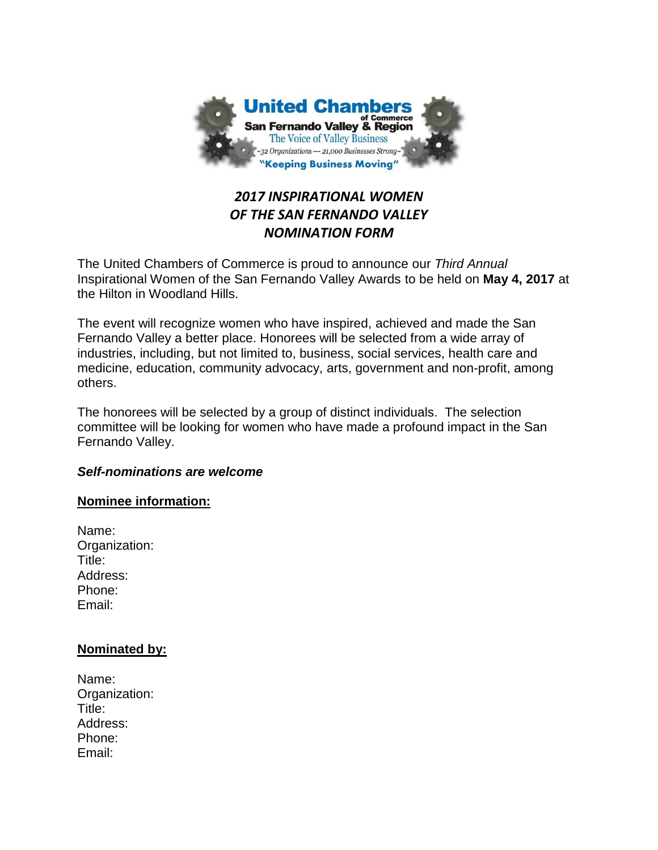

# *2017 INSPIRATIONAL WOMEN OF THE SAN FERNANDO VALLEY NOMINATION FORM*

The United Chambers of Commerce is proud to announce our *Third Annual* Inspirational Women of the San Fernando Valley Awards to be held on **May 4, 2017** at the Hilton in Woodland Hills.

The event will recognize women who have inspired, achieved and made the San Fernando Valley a better place. Honorees will be selected from a wide array of industries, including, but not limited to, business, social services, health care and medicine, education, community advocacy, arts, government and non-profit, among others.

The honorees will be selected by a group of distinct individuals. The selection committee will be looking for women who have made a profound impact in the San Fernando Valley.

# *Self-nominations are welcome*

### **Nominee information:**

Name: Organization: Title: Address: Phone: Email:

# **Nominated by:**

Name: Organization: Title: Address: Phone: Email: